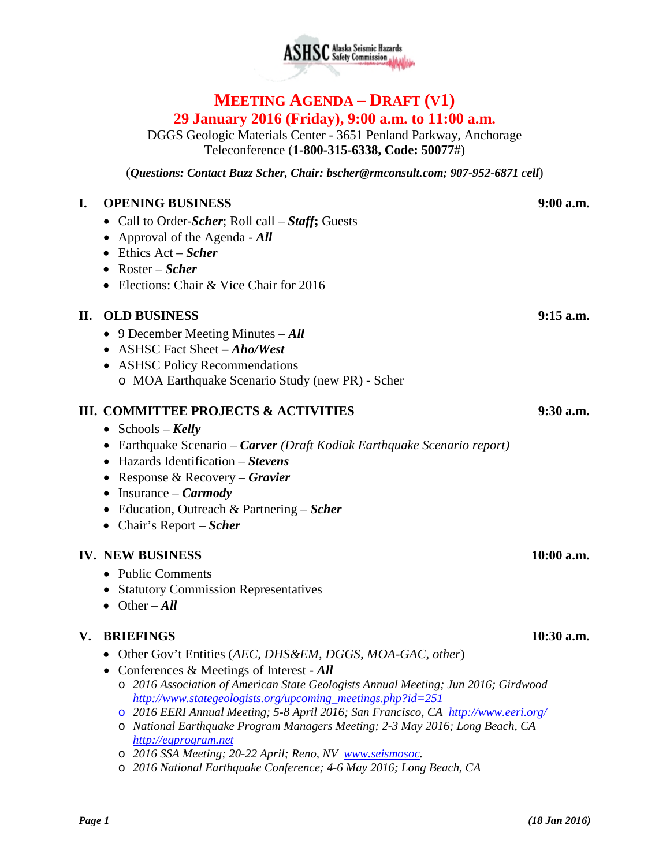

# **MEETING AGENDA – DRAFT (V1) 29 January 2016 (Friday), 9:00 a.m. to 11:00 a.m.**

DGGS Geologic Materials Center - 3651 Penland Parkway, Anchorage Teleconference (**1-800-315-6338, Code: 50077**#)

(*Questions: Contact Buzz Scher, Chair: [bscher@rmconsult.com;](mailto:bscher@rmconsult.com) 907-952-6871 cell*)

#### **I. OPENING BUSINESS 9:00 a.m.**

- Call to Order-*Scher*; Roll call *Staff***;** Guests
- Approval of the Agenda *All*
- Ethics Act *Scher*
- Roster *Scher*
- Elections: Chair & Vice Chair for 2016

### **II. OLD BUSINESS 9:15 a.m.**

- 9 December Meeting Minutes *All*
- ASHSC Fact Sheet *– Aho/West*
- ASHSC Policy Recommendations o MOA Earthquake Scenario Study (new PR) - Scher

### **III. COMMITTEE PROJECTS & ACTIVITIES 9:30 a.m.**

- Schools *Kelly*
- Earthquake Scenario *Carver (Draft Kodiak Earthquake Scenario report)*
- Hazards Identification *Stevens*
- Response & Recovery *Gravier*
- Insurance *Carmody*
- Education, Outreach & Partnering *Scher*
- Chair's Report *Scher*

#### **IV. NEW BUSINESS 10:00 a.m.**

- Public Comments
- Statutory Commission Representatives
- Other *All*

#### **V. BRIEFINGS 10:30 a.m.**

- Other Gov't Entities (*AEC, DHS&EM, DGGS, MOA-GAC, other*)
- Conferences & Meetings of Interest *All*
	- o *2016 Association of American State Geologists Annual Meeting; Jun 2016; Girdwood [http://www.stategeologists.org/upcoming\\_meetings.php?id=251](http://www.stategeologists.org/upcoming_meetings.php?id=251)*
	- o *2016 EERI Annual Meeting; 5-8 April 2016; San Francisco, CA <http://www.eeri.org/>*
	- o *National Earthquake Program Managers Meeting; 2-3 May 2016; Long Beach, CA [http://eqprogram.net](http://eqprogram.net/)*
	- o *2016 SSA Meeting; 20-22 April; Reno, NV [www.seismosoc.](http://www.seismosoc/)*
	- o *2016 National Earthquake Conference; 4-6 May 2016; Long Beach, CA*